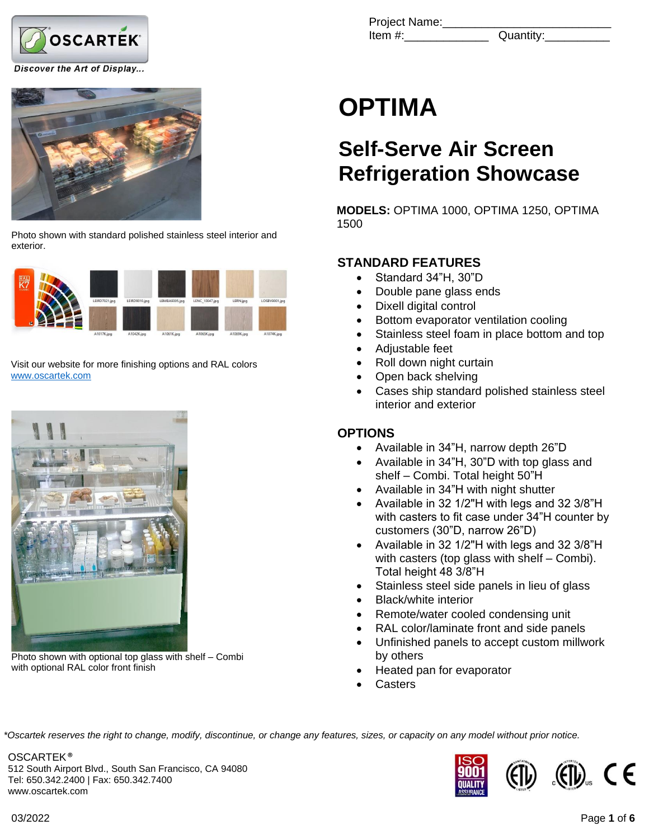

Discover the Art of Display...



Photo shown with standard polished stainless steel interior and exterior.



Visit our website for more finishing options and RAL colors [www.oscartek.com](http://www.oscartek.com/)



Photo shown with optional top glass with shelf – Combi with optional RAL color front finish

Project Name: Item #:  $\qquad \qquad$  Quantity:

# **OPTIMA**

# **Self-Serve Air Screen Refrigeration Showcase**

**MODELS:** OPTIMA 1000, OPTIMA 1250, OPTIMA 1500

# **STANDARD FEATURES**

- Standard 34"H, 30"D
- Double pane glass ends
- Dixell digital control
- Bottom evaporator ventilation cooling
- Stainless steel foam in place bottom and top
- Adjustable feet
- Roll down night curtain
- Open back shelving
- Cases ship standard polished stainless steel interior and exterior

# **OPTIONS**

- Available in 34"H, narrow depth 26"D
- Available in 34"H, 30"D with top glass and shelf – Combi. Total height 50"H
- Available in 34"H with night shutter
- Available in 32 1/2"H with legs and 32 3/8"H with casters to fit case under 34"H counter by customers (30"D, narrow 26"D)
- Available in 32 1/2"H with legs and 32 3/8"H with casters (top glass with shelf – Combi). Total height 48 3/8"H
- Stainless steel side panels in lieu of glass
- Black/white interior
- Remote/water cooled condensing unit
- RAL color/laminate front and side panels
- Unfinished panels to accept custom millwork by others
- Heated pan for evaporator
- **Casters**

*\*Oscartek reserves the right to change, modify, discontinue, or change any features, sizes, or capacity on any model without prior notice.*

OSCARTEK ® 512 South Airport Blvd., South San Francisco, CA 94080 Tel: 650.342.2400 | Fax: 650.342.7400 www.oscartek.com

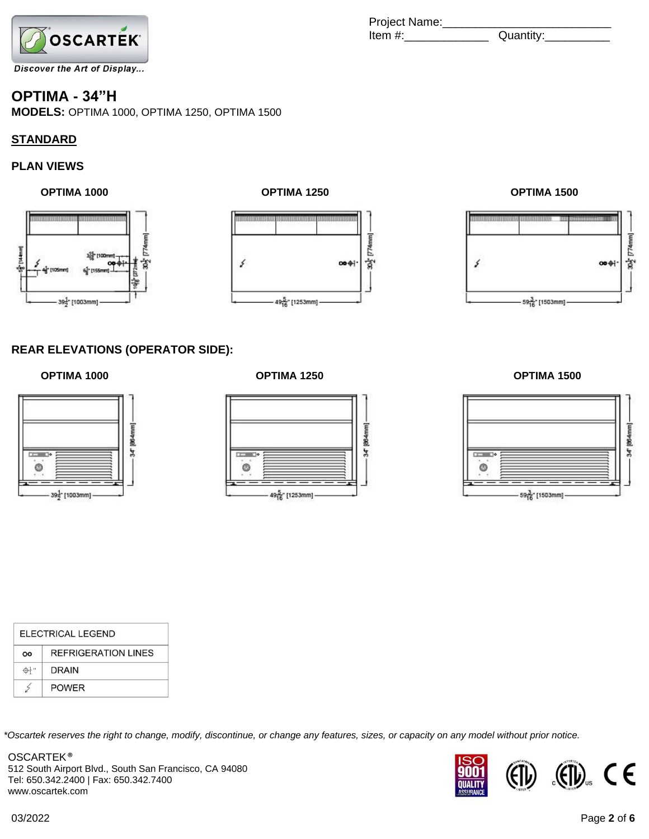

## **OPTIMA - 34"H**

**MODELS:** OPTIMA 1000, OPTIMA 1250, OPTIMA 1500

### **STANDARD**

### **PLAN VIEWS**



 **OPTIMA 1000 OPTIMA 1250 OPTIMA 1500**

# 30g [774mm] ś  $\Theta$ 495 [1253mm]

## Project Name:\_\_\_\_\_\_\_\_\_\_\_\_\_\_\_\_\_\_\_\_\_\_\_\_\_\_  $Item #:$



### **REAR ELEVATIONS (OPERATOR SIDE):**





 **OPTIMA 1000 OPTIMA 1250 OPTIMA 1500**



| ELECTRICAL LEGEND |                            |  |  |
|-------------------|----------------------------|--|--|
| OO                | <b>REFRIGERATION LINES</b> |  |  |
|                   | <b>DRAIN</b>               |  |  |
|                   | <b>POWER</b>               |  |  |

*\*Oscartek reserves the right to change, modify, discontinue, or change any features, sizes, or capacity on any model without prior notice.*

OSCARTEK ® 512 South Airport Blvd., South San Francisco, CA 94080 Tel: 650.342.2400 | Fax: 650.342.7400 www.oscartek.com

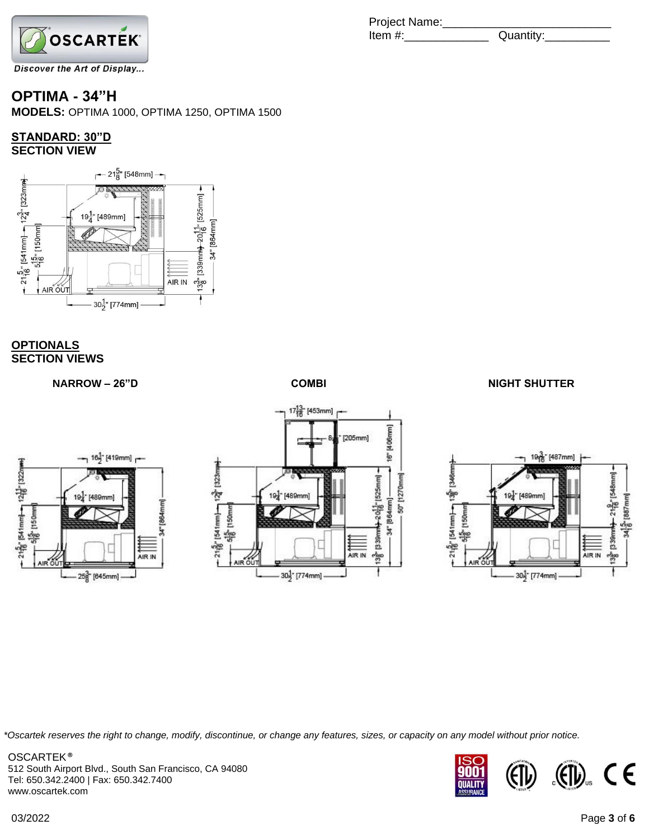

# **OPTIMA - 34"H**

**MODELS:** OPTIMA 1000, OPTIMA 1250, OPTIMA 1500

# **STANDARD: 30"D**



### **OPTIONALS SECTION VIEWS**

21륩" [541mm]-- 12븁" [322mm]<br>---- 5뤁" [150mm]



 $16\frac{1}{2}$  [419mm]  $\rightarrow$ 

34" [864mm

AIR IN

[489mm]

25<sup>3</sup> [645mm]





*\*Oscartek reserves the right to change, modify, discontinue, or change any features, sizes, or capacity on any model without prior notice.*

OSCARTEK ® 512 South Airport Blvd., South San Francisco, CA 94080 Tel: 650.342.2400 | Fax: 650.342.7400 www.oscartek.com



# Project Name: Item #:\_\_\_\_\_\_\_\_\_\_\_\_\_ Quantity:\_\_\_\_\_\_\_\_\_\_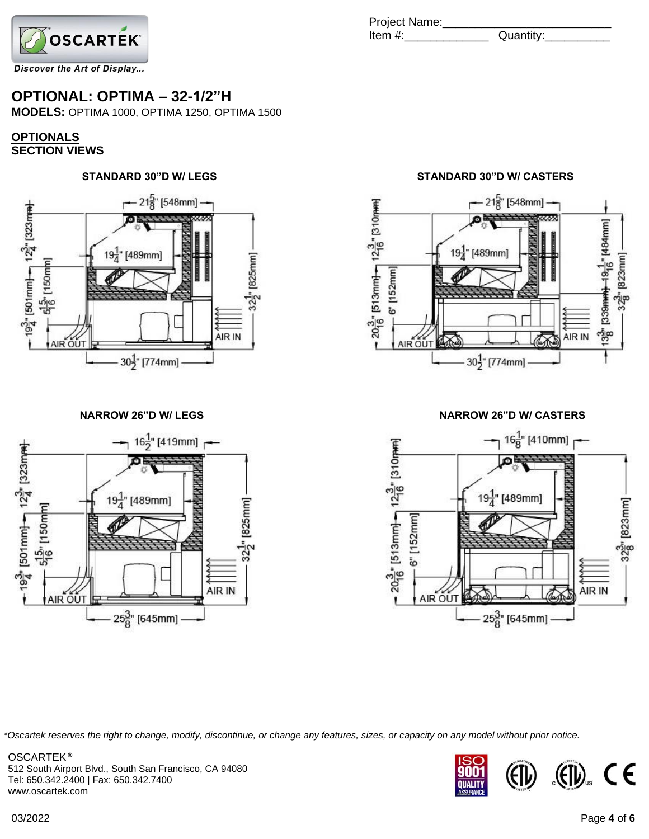

# **OPTIONAL: OPTIMA – 32-1/2"H**

**MODELS:** OPTIMA 1000, OPTIMA 1250, OPTIMA 1500

### **OPTIONALS SECTION VIEWS**

# **STANDARD 30"D W/ LEGS STANDARD 30"D W/ CASTERS**





Project Name:\_\_\_\_\_\_\_\_\_\_\_\_\_\_\_\_\_\_\_\_\_\_\_\_\_\_ Item #:\_\_\_\_\_\_\_\_\_\_\_\_\_ Quantity:\_\_\_\_\_\_\_\_\_\_



### **NARROW 26"D W/ LEGS NARROW 26"D W/ CASTERS**



*\*Oscartek reserves the right to change, modify, discontinue, or change any features, sizes, or capacity on any model without prior notice.*

OSCARTEK ® 512 South Airport Blvd., South San Francisco, CA 94080 Tel: 650.342.2400 | Fax: 650.342.7400 www.oscartek.com

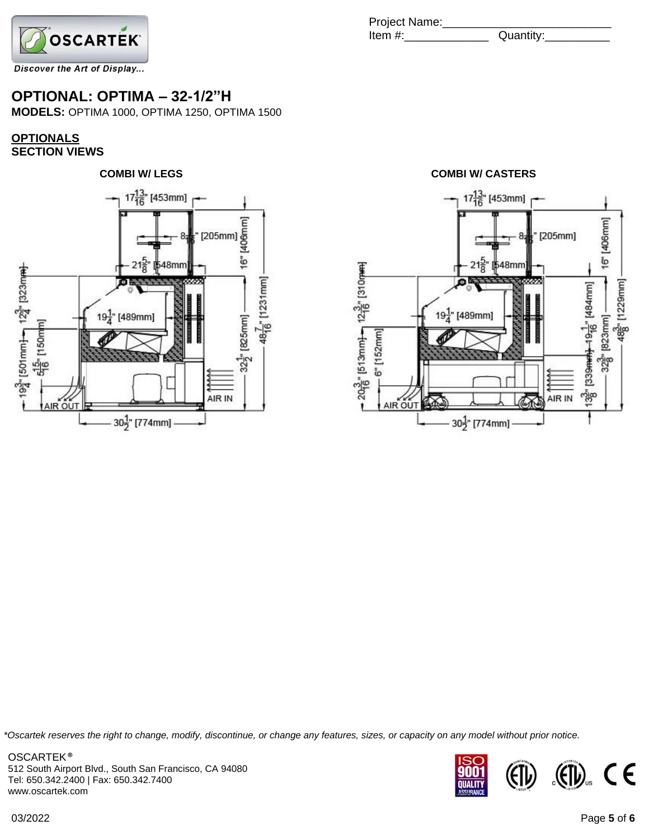

# **OPTIONAL: OPTIMA – 32-1/2"H**

**MODELS:** OPTIMA 1000, OPTIMA 1250, OPTIMA 1500

### **OPTIONALS SECTION VIEWS**



Project Name:\_\_\_\_\_\_\_\_\_\_\_\_\_\_\_\_\_\_\_\_\_\_\_\_\_\_  $Item #:$ 



*\*Oscartek reserves the right to change, modify, discontinue, or change any features, sizes, or capacity on any model without prior notice.*